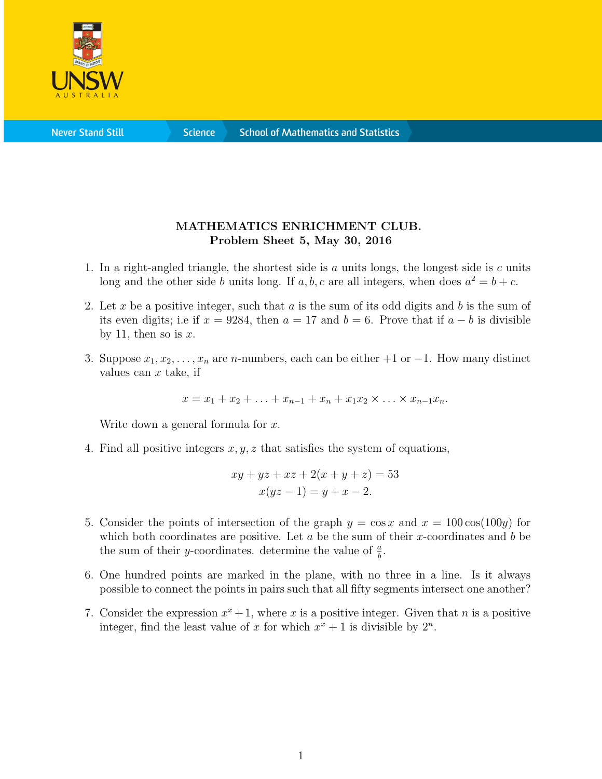

**Science** 

## MATHEMATICS ENRICHMENT CLUB. Problem Sheet 5, May 30, 2016

- 1. In a right-angled triangle, the shortest side is  $a$  units longs, the longest side is  $c$  units long and the other side b units long. If a, b, c are all integers, when does  $a^2 = b + c$ .
- 2. Let x be a positive integer, such that a is the sum of its odd digits and b is the sum of its even digits; i.e if  $x = 9284$ , then  $a = 17$  and  $b = 6$ . Prove that if  $a - b$  is divisible by 11, then so is  $x$ .
- 3. Suppose  $x_1, x_2, \ldots, x_n$  are *n*-numbers, each can be either  $+1$  or  $-1$ . How many distinct values can  $x$  take, if

 $x = x_1 + x_2 + \ldots + x_{n-1} + x_n + x_1x_2 \times \ldots \times x_{n-1}x_n.$ 

Write down a general formula for  $x$ .

4. Find all positive integers  $x, y, z$  that satisfies the system of equations,

$$
xy + yz + xz + 2(x + y + z) = 53
$$
  

$$
x(yz - 1) = y + x - 2.
$$

- 5. Consider the points of intersection of the graph  $y = \cos x$  and  $x = 100 \cos(100y)$  for which both coordinates are positive. Let  $a$  be the sum of their x-coordinates and  $b$  be the sum of their *y*-coordinates. determine the value of  $\frac{a}{b}$ .
- 6. One hundred points are marked in the plane, with no three in a line. Is it always possible to connect the points in pairs such that all fifty segments intersect one another?
- 7. Consider the expression  $x^x + 1$ , where x is a positive integer. Given that n is a positive integer, find the least value of x for which  $x^x + 1$  is divisible by  $2^n$ .